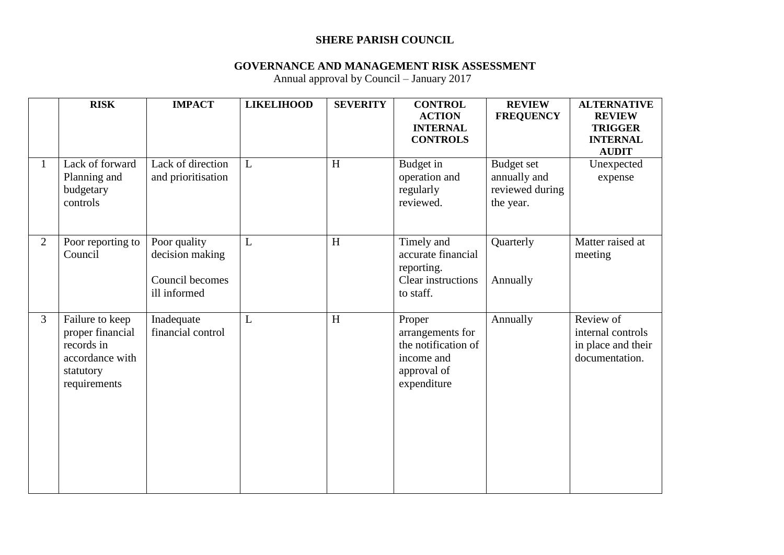## **SHERE PARISH COUNCIL**

## **GOVERNANCE AND MANAGEMENT RISK ASSESSMENT**

Annual approval by Council – January 2017

|                | <b>RISK</b>                                                                                       | <b>IMPACT</b>                                                      | <b>LIKELIHOOD</b> | <b>SEVERITY</b> | <b>CONTROL</b><br><b>ACTION</b><br><b>INTERNAL</b><br><b>CONTROLS</b>                         | <b>REVIEW</b><br><b>FREQUENCY</b>                                 | <b>ALTERNATIVE</b><br><b>REVIEW</b><br><b>TRIGGER</b><br><b>INTERNAL</b><br><b>AUDIT</b> |
|----------------|---------------------------------------------------------------------------------------------------|--------------------------------------------------------------------|-------------------|-----------------|-----------------------------------------------------------------------------------------------|-------------------------------------------------------------------|------------------------------------------------------------------------------------------|
| $\mathbf{1}$   | Lack of forward<br>Planning and<br>budgetary<br>controls                                          | Lack of direction<br>and prioritisation                            | L                 | H               | Budget in<br>operation and<br>regularly<br>reviewed.                                          | <b>Budget set</b><br>annually and<br>reviewed during<br>the year. | Unexpected<br>expense                                                                    |
| $\overline{2}$ | Poor reporting to<br>Council                                                                      | Poor quality<br>decision making<br>Council becomes<br>ill informed | L                 | H               | Timely and<br>accurate financial<br>reporting.<br>Clear instructions<br>to staff.             | Quarterly<br>Annually                                             | Matter raised at<br>meeting                                                              |
| 3              | Failure to keep<br>proper financial<br>records in<br>accordance with<br>statutory<br>requirements | Inadequate<br>financial control                                    | L                 | H               | Proper<br>arrangements for<br>the notification of<br>income and<br>approval of<br>expenditure | Annually                                                          | Review of<br>internal controls<br>in place and their<br>documentation.                   |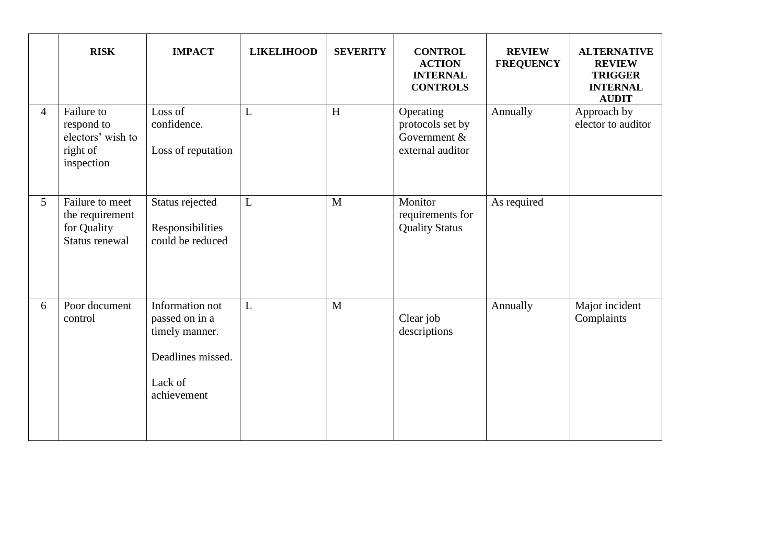|                 | <b>RISK</b>                                                             | <b>IMPACT</b>                                                                                      | <b>LIKELIHOOD</b> | <b>SEVERITY</b> | <b>CONTROL</b><br><b>ACTION</b><br><b>INTERNAL</b><br><b>CONTROLS</b> | <b>REVIEW</b><br><b>FREQUENCY</b> | <b>ALTERNATIVE</b><br><b>REVIEW</b><br><b>TRIGGER</b><br><b>INTERNAL</b><br><b>AUDIT</b> |
|-----------------|-------------------------------------------------------------------------|----------------------------------------------------------------------------------------------------|-------------------|-----------------|-----------------------------------------------------------------------|-----------------------------------|------------------------------------------------------------------------------------------|
| 4               | Failure to<br>respond to<br>electors' wish to<br>right of<br>inspection | Loss of<br>confidence.<br>Loss of reputation                                                       | L                 | H               | Operating<br>protocols set by<br>Government &<br>external auditor     | Annually                          | Approach by<br>elector to auditor                                                        |
| $5\overline{)}$ | Failure to meet<br>the requirement<br>for Quality<br>Status renewal     | Status rejected<br>Responsibilities<br>could be reduced                                            | $\mathbf{L}$      | $\overline{M}$  | Monitor<br>requirements for<br><b>Quality Status</b>                  | As required                       |                                                                                          |
| 6               | Poor document<br>control                                                | Information not<br>passed on in a<br>timely manner.<br>Deadlines missed.<br>Lack of<br>achievement | $\mathbf{L}$      | M               | Clear job<br>descriptions                                             | Annually                          | Major incident<br>Complaints                                                             |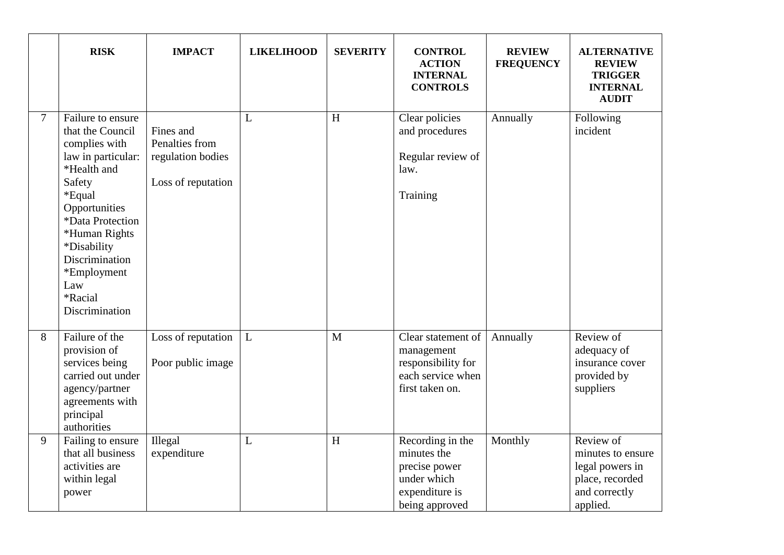|                | <b>RISK</b>                                                                                                                                                                                                                                               | <b>IMPACT</b>                                                          | <b>LIKELIHOOD</b> | <b>SEVERITY</b> | <b>CONTROL</b><br><b>ACTION</b><br><b>INTERNAL</b><br><b>CONTROLS</b>                               | <b>REVIEW</b><br><b>FREQUENCY</b> | <b>ALTERNATIVE</b><br><b>REVIEW</b><br><b>TRIGGER</b><br><b>INTERNAL</b><br><b>AUDIT</b>          |
|----------------|-----------------------------------------------------------------------------------------------------------------------------------------------------------------------------------------------------------------------------------------------------------|------------------------------------------------------------------------|-------------------|-----------------|-----------------------------------------------------------------------------------------------------|-----------------------------------|---------------------------------------------------------------------------------------------------|
| $\overline{7}$ | Failure to ensure<br>that the Council<br>complies with<br>law in particular:<br>*Health and<br>Safety<br>*Equal<br>Opportunities<br>*Data Protection<br>*Human Rights<br>*Disability<br>Discrimination<br>*Employment<br>Law<br>*Racial<br>Discrimination | Fines and<br>Penalties from<br>regulation bodies<br>Loss of reputation | L                 | H               | Clear policies<br>and procedures<br>Regular review of<br>law.<br>Training                           | Annually                          | Following<br>incident                                                                             |
| 8              | Failure of the<br>provision of<br>services being<br>carried out under<br>agency/partner<br>agreements with<br>principal<br>authorities                                                                                                                    | Loss of reputation<br>Poor public image                                | L                 | M               | Clear statement of<br>management<br>responsibility for<br>each service when<br>first taken on.      | Annually                          | Review of<br>adequacy of<br>insurance cover<br>provided by<br>suppliers                           |
| 9              | Failing to ensure<br>that all business<br>activities are<br>within legal<br>power                                                                                                                                                                         | Illegal<br>expenditure                                                 | L                 | H               | Recording in the<br>minutes the<br>precise power<br>under which<br>expenditure is<br>being approved | Monthly                           | Review of<br>minutes to ensure<br>legal powers in<br>place, recorded<br>and correctly<br>applied. |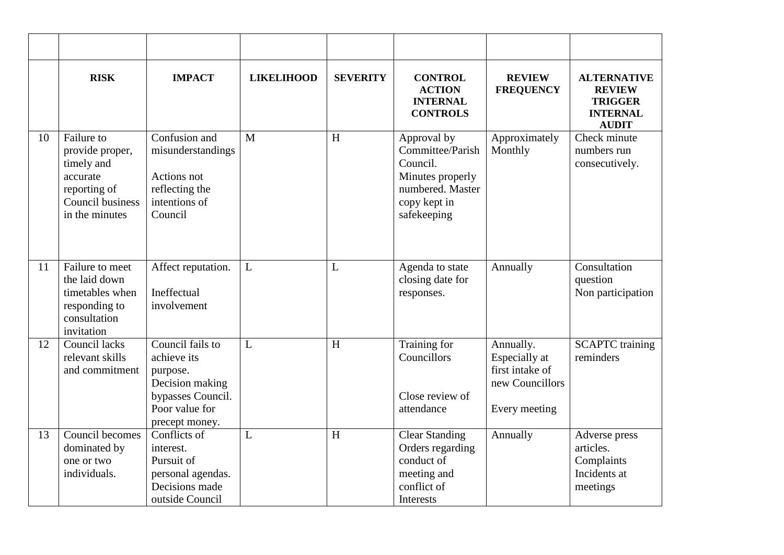|    | <b>RISK</b>                                                                                                   | <b>IMPACT</b>                                                                                                           | <b>LIKELIHOOD</b> | <b>SEVERITY</b> | <b>CONTROL</b><br><b>ACTION</b><br><b>INTERNAL</b><br><b>CONTROLS</b>                                              | <b>REVIEW</b><br><b>FREQUENCY</b>                                                 | <b>ALTERNATIVE</b><br><b>REVIEW</b><br><b>TRIGGER</b><br><b>INTERNAL</b><br><b>AUDIT</b> |
|----|---------------------------------------------------------------------------------------------------------------|-------------------------------------------------------------------------------------------------------------------------|-------------------|-----------------|--------------------------------------------------------------------------------------------------------------------|-----------------------------------------------------------------------------------|------------------------------------------------------------------------------------------|
| 10 | Failure to<br>provide proper,<br>timely and<br>accurate<br>reporting of<br>Council business<br>in the minutes | Confusion and<br>misunderstandings<br>Actions not<br>reflecting the<br>intentions of<br>Council                         | M                 | H               | Approval by<br>Committee/Parish<br>Council.<br>Minutes properly<br>numbered. Master<br>copy kept in<br>safekeeping | Approximately<br>Monthly                                                          | Check minute<br>numbers run<br>consecutively.                                            |
| 11 | Failure to meet<br>the laid down<br>timetables when<br>responding to<br>consultation<br>invitation            | Affect reputation.<br><b>Ineffectual</b><br>involvement                                                                 | L                 | L               | Agenda to state<br>closing date for<br>responses.                                                                  | Annually                                                                          | Consultation<br>question<br>Non participation                                            |
| 12 | Council lacks<br>relevant skills<br>and commitment                                                            | Council fails to<br>achieve its<br>purpose.<br>Decision making<br>bypasses Council.<br>Poor value for<br>precept money. | L                 | H               | Training for<br>Councillors<br>Close review of<br>attendance                                                       | Annually.<br>Especially at<br>first intake of<br>new Councillors<br>Every meeting | <b>SCAPTC</b> training<br>reminders                                                      |
| 13 | Council becomes<br>dominated by<br>one or two<br>individuals.                                                 | Conflicts of<br>interest.<br>Pursuit of<br>personal agendas.<br>Decisions made<br>outside Council                       | L                 | H               | <b>Clear Standing</b><br>Orders regarding<br>conduct of<br>meeting and<br>conflict of<br>Interests                 | Annually                                                                          | Adverse press<br>articles.<br>Complaints<br>Incidents at<br>meetings                     |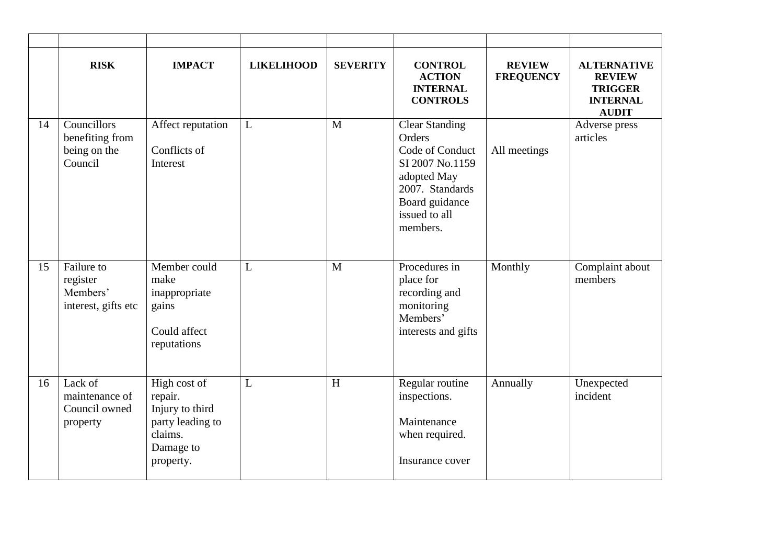|    | <b>RISK</b>                                               | <b>IMPACT</b>                                                                                       | <b>LIKELIHOOD</b> | <b>SEVERITY</b> | <b>CONTROL</b><br><b>ACTION</b><br><b>INTERNAL</b><br><b>CONTROLS</b>                                                                                  | <b>REVIEW</b><br><b>FREQUENCY</b> | <b>ALTERNATIVE</b><br><b>REVIEW</b><br><b>TRIGGER</b><br><b>INTERNAL</b><br><b>AUDIT</b> |
|----|-----------------------------------------------------------|-----------------------------------------------------------------------------------------------------|-------------------|-----------------|--------------------------------------------------------------------------------------------------------------------------------------------------------|-----------------------------------|------------------------------------------------------------------------------------------|
| 14 | Councillors<br>benefiting from<br>being on the<br>Council | Affect reputation<br>Conflicts of<br>Interest                                                       | $\mathbf{L}$      | $\mathbf{M}$    | <b>Clear Standing</b><br>Orders<br>Code of Conduct<br>SI 2007 No.1159<br>adopted May<br>2007. Standards<br>Board guidance<br>issued to all<br>members. | All meetings                      | Adverse press<br>articles                                                                |
| 15 | Failure to<br>register<br>Members'<br>interest, gifts etc | Member could<br>make<br>inappropriate<br>gains<br>Could affect<br>reputations                       | L                 | M               | Procedures in<br>place for<br>recording and<br>monitoring<br>Members'<br>interests and gifts                                                           | Monthly                           | Complaint about<br>members                                                               |
| 16 | Lack of<br>maintenance of<br>Council owned<br>property    | High cost of<br>repair.<br>Injury to third<br>party leading to<br>claims.<br>Damage to<br>property. | L                 | H               | Regular routine<br>inspections.<br>Maintenance<br>when required.<br>Insurance cover                                                                    | Annually                          | Unexpected<br>incident                                                                   |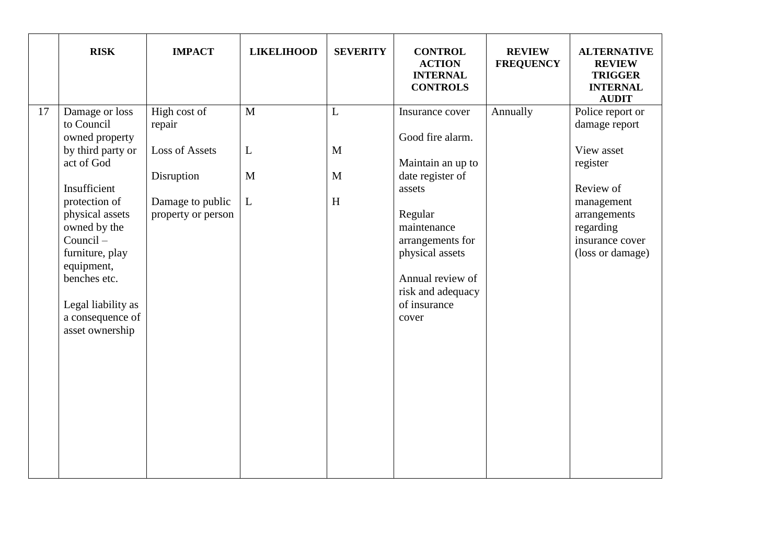| <b>RISK</b>                                                                                                                                                                                                                                                                           | <b>IMPACT</b>                                                                                           | <b>LIKELIHOOD</b>           | <b>SEVERITY</b>                                       | <b>CONTROL</b><br><b>ACTION</b><br><b>INTERNAL</b><br><b>CONTROLS</b>                                                                                                                                                     | <b>REVIEW</b><br><b>FREQUENCY</b> | <b>ALTERNATIVE</b><br><b>REVIEW</b><br><b>TRIGGER</b><br><b>INTERNAL</b><br><b>AUDIT</b>                                                                   |
|---------------------------------------------------------------------------------------------------------------------------------------------------------------------------------------------------------------------------------------------------------------------------------------|---------------------------------------------------------------------------------------------------------|-----------------------------|-------------------------------------------------------|---------------------------------------------------------------------------------------------------------------------------------------------------------------------------------------------------------------------------|-----------------------------------|------------------------------------------------------------------------------------------------------------------------------------------------------------|
| Damage or loss<br>17<br>to Council<br>owned property<br>by third party or<br>act of God<br>Insufficient<br>protection of<br>physical assets<br>owned by the<br>Council-<br>furniture, play<br>equipment,<br>benches etc.<br>Legal liability as<br>a consequence of<br>asset ownership | High cost of<br>repair<br><b>Loss of Assets</b><br>Disruption<br>Damage to public<br>property or person | $\mathbf{M}$<br>L<br>M<br>L | $\overline{L}$<br>M<br>M<br>$\boldsymbol{\mathrm{H}}$ | Insurance cover<br>Good fire alarm.<br>Maintain an up to<br>date register of<br>assets<br>Regular<br>maintenance<br>arrangements for<br>physical assets<br>Annual review of<br>risk and adequacy<br>of insurance<br>cover | Annually                          | Police report or<br>damage report<br>View asset<br>register<br>Review of<br>management<br>arrangements<br>regarding<br>insurance cover<br>(loss or damage) |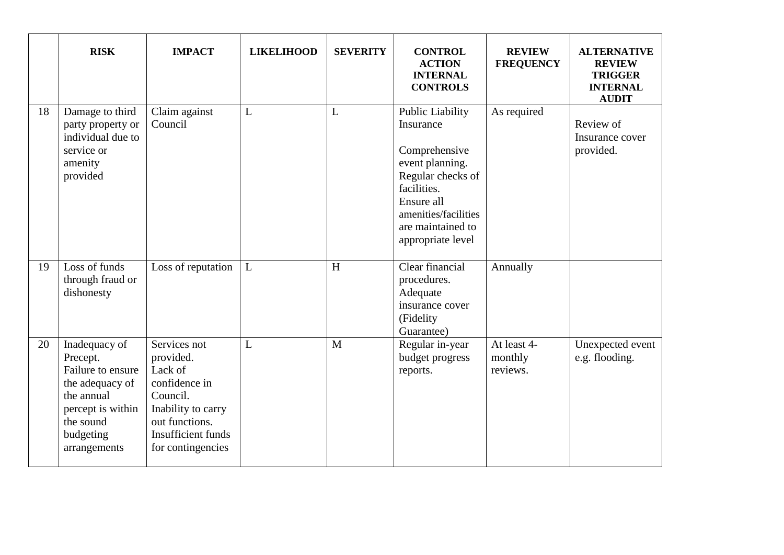|    | <b>RISK</b>                                                                                                                                    | <b>IMPACT</b>                                                                                                                                               | <b>LIKELIHOOD</b> | <b>SEVERITY</b>           | <b>CONTROL</b><br><b>ACTION</b><br><b>INTERNAL</b><br><b>CONTROLS</b>                                                                                                                 | <b>REVIEW</b><br><b>FREQUENCY</b>  | <b>ALTERNATIVE</b><br><b>REVIEW</b><br><b>TRIGGER</b><br><b>INTERNAL</b><br><b>AUDIT</b> |
|----|------------------------------------------------------------------------------------------------------------------------------------------------|-------------------------------------------------------------------------------------------------------------------------------------------------------------|-------------------|---------------------------|---------------------------------------------------------------------------------------------------------------------------------------------------------------------------------------|------------------------------------|------------------------------------------------------------------------------------------|
| 18 | Damage to third<br>party property or<br>individual due to<br>service or<br>amenity<br>provided                                                 | Claim against<br>Council                                                                                                                                    | L                 | L                         | Public Liability<br>Insurance<br>Comprehensive<br>event planning.<br>Regular checks of<br>facilities.<br>Ensure all<br>amenities/facilities<br>are maintained to<br>appropriate level | As required                        | Review of<br>Insurance cover<br>provided.                                                |
| 19 | Loss of funds<br>through fraud or<br>dishonesty                                                                                                | Loss of reputation                                                                                                                                          | L                 | $\boldsymbol{\mathrm{H}}$ | Clear financial<br>procedures.<br>Adequate<br>insurance cover<br>(Fidelity<br>Guarantee)                                                                                              | Annually                           |                                                                                          |
| 20 | Inadequacy of<br>Precept.<br>Failure to ensure<br>the adequacy of<br>the annual<br>percept is within<br>the sound<br>budgeting<br>arrangements | Services not<br>provided.<br>Lack of<br>confidence in<br>Council.<br>Inability to carry<br>out functions.<br><b>Insufficient</b> funds<br>for contingencies | L                 | M                         | Regular in-year<br>budget progress<br>reports.                                                                                                                                        | At least 4-<br>monthly<br>reviews. | Unexpected event<br>e.g. flooding.                                                       |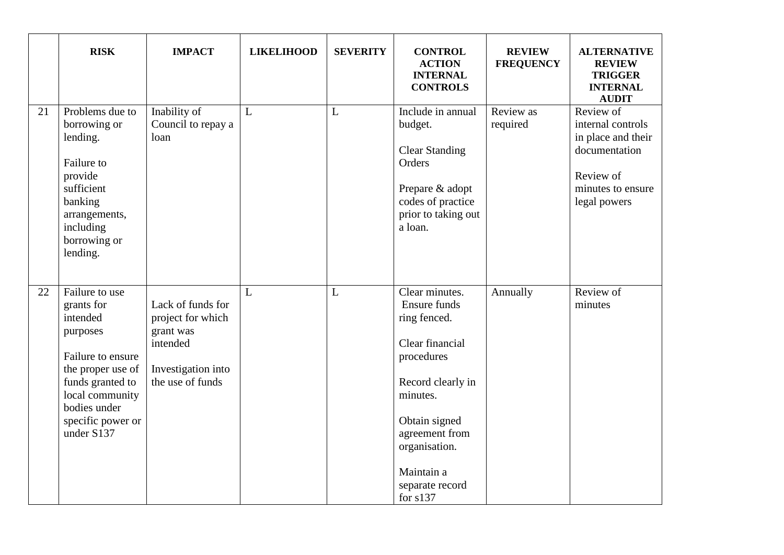|    | <b>RISK</b>                                                                                                                                                                              | <b>IMPACT</b>                                                                                             | <b>LIKELIHOOD</b> | <b>SEVERITY</b> | <b>CONTROL</b><br><b>ACTION</b><br><b>INTERNAL</b><br><b>CONTROLS</b>                                                                                                                                               | <b>REVIEW</b><br><b>FREQUENCY</b> | <b>ALTERNATIVE</b><br><b>REVIEW</b><br><b>TRIGGER</b><br><b>INTERNAL</b><br><b>AUDIT</b>                                |
|----|------------------------------------------------------------------------------------------------------------------------------------------------------------------------------------------|-----------------------------------------------------------------------------------------------------------|-------------------|-----------------|---------------------------------------------------------------------------------------------------------------------------------------------------------------------------------------------------------------------|-----------------------------------|-------------------------------------------------------------------------------------------------------------------------|
| 21 | Problems due to<br>borrowing or<br>lending.<br>Failure to<br>provide<br>sufficient<br>banking<br>arrangements,<br>including<br>borrowing or<br>lending.                                  | Inability of<br>Council to repay a<br>loan                                                                | L                 | L               | Include in annual<br>budget.<br><b>Clear Standing</b><br>Orders<br>Prepare & adopt<br>codes of practice<br>prior to taking out<br>a loan.                                                                           | Review as<br>required             | Review of<br>internal controls<br>in place and their<br>documentation<br>Review of<br>minutes to ensure<br>legal powers |
| 22 | Failure to use<br>grants for<br>intended<br>purposes<br>Failure to ensure<br>the proper use of<br>funds granted to<br>local community<br>bodies under<br>specific power or<br>under S137 | Lack of funds for<br>project for which<br>grant was<br>intended<br>Investigation into<br>the use of funds | L                 | L               | Clear minutes.<br>Ensure funds<br>ring fenced.<br>Clear financial<br>procedures<br>Record clearly in<br>minutes.<br>Obtain signed<br>agreement from<br>organisation.<br>Maintain a<br>separate record<br>for $s137$ | Annually                          | Review of<br>minutes                                                                                                    |